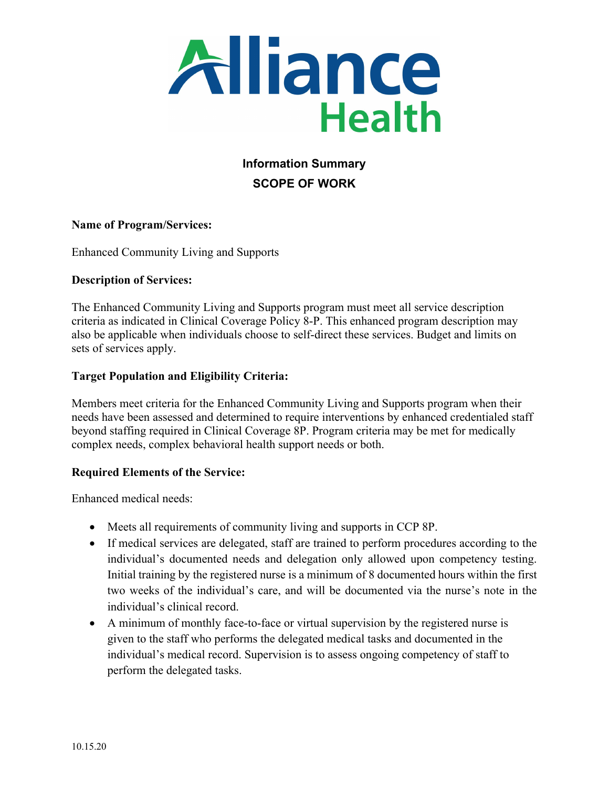

# **Information Summary SCOPE OF WORK**

## **Name of Program/Services:**

Enhanced Community Living and Supports

#### **Description of Services:**

The Enhanced Community Living and Supports program must meet all service description criteria as indicated in Clinical Coverage Policy 8-P. This enhanced program description may also be applicable when individuals choose to self-direct these services. Budget and limits on sets of services apply.

#### **Target Population and Eligibility Criteria:**

Members meet criteria for the Enhanced Community Living and Supports program when their needs have been assessed and determined to require interventions by enhanced credentialed staff beyond staffing required in Clinical Coverage 8P. Program criteria may be met for medically complex needs, complex behavioral health support needs or both.

#### **Required Elements of the Service:**

Enhanced medical needs:

- Meets all requirements of community living and supports in CCP 8P.
- If medical services are delegated, staff are trained to perform procedures according to the individual's documented needs and delegation only allowed upon competency testing. Initial training by the registered nurse is a minimum of 8 documented hours within the first two weeks of the individual's care, and will be documented via the nurse's note in the individual's clinical record.
- A minimum of monthly face-to-face or virtual supervision by the registered nurse is given to the staff who performs the delegated medical tasks and documented in the individual's medical record. Supervision is to assess ongoing competency of staff to perform the delegated tasks.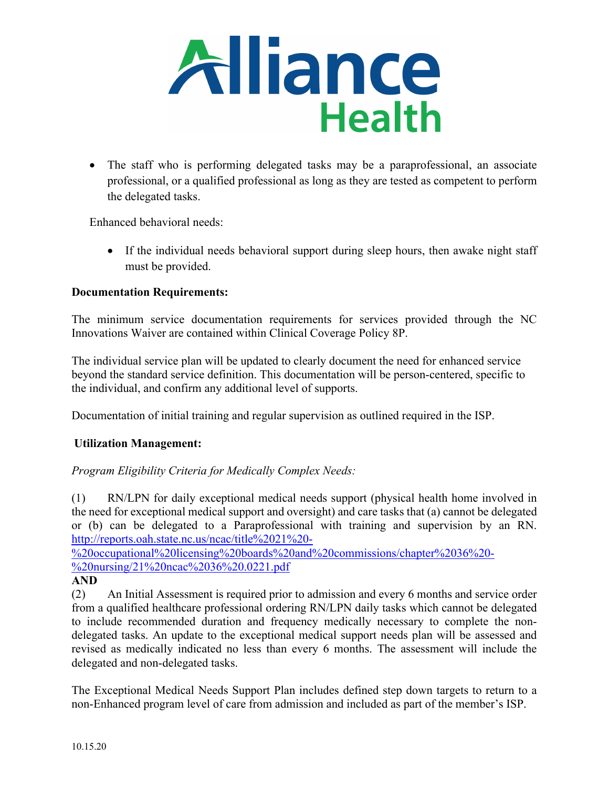

• The staff who is performing delegated tasks may be a paraprofessional, an associate professional, or a qualified professional as long as they are tested as competent to perform the delegated tasks.

Enhanced behavioral needs:

• If the individual needs behavioral support during sleep hours, then awake night staff must be provided.

## **Documentation Requirements:**

The minimum service documentation requirements for services provided through the NC Innovations Waiver are contained within Clinical Coverage Policy 8P.

The individual service plan will be updated to clearly document the need for enhanced service beyond the standard service definition. This documentation will be person-centered, specific to the individual, and confirm any additional level of supports.

Documentation of initial training and regular supervision as outlined required in the ISP.

## **Utilization Management:**

## *Program Eligibility Criteria for Medically Complex Needs:*

(1) RN/LPN for daily exceptional medical needs support (physical health home involved in the need for exceptional medical support and oversight) and care tasks that (a) cannot be delegated or (b) can be delegated to a Paraprofessional with training and supervision by an RN. [http://reports.oah.state.nc.us/ncac/title%2021%20-](http://reports.oah.state.nc.us/ncac/title%2021%20-%20occupational%20licensing%20boards%20and%20commissions/chapter%2036%20-%20nursing/21%20ncac%2036%20.0221.pdf)

[%20occupational%20licensing%20boards%20and%20commissions/chapter%2036%20-](http://reports.oah.state.nc.us/ncac/title%2021%20-%20occupational%20licensing%20boards%20and%20commissions/chapter%2036%20-%20nursing/21%20ncac%2036%20.0221.pdf) [%20nursing/21%20ncac%2036%20.0221.pdf](http://reports.oah.state.nc.us/ncac/title%2021%20-%20occupational%20licensing%20boards%20and%20commissions/chapter%2036%20-%20nursing/21%20ncac%2036%20.0221.pdf)

**AND**

(2) An Initial Assessment is required prior to admission and every 6 months and service order from a qualified healthcare professional ordering RN/LPN daily tasks which cannot be delegated to include recommended duration and frequency medically necessary to complete the nondelegated tasks. An update to the exceptional medical support needs plan will be assessed and revised as medically indicated no less than every 6 months. The assessment will include the delegated and non-delegated tasks.

The Exceptional Medical Needs Support Plan includes defined step down targets to return to a non-Enhanced program level of care from admission and included as part of the member's ISP.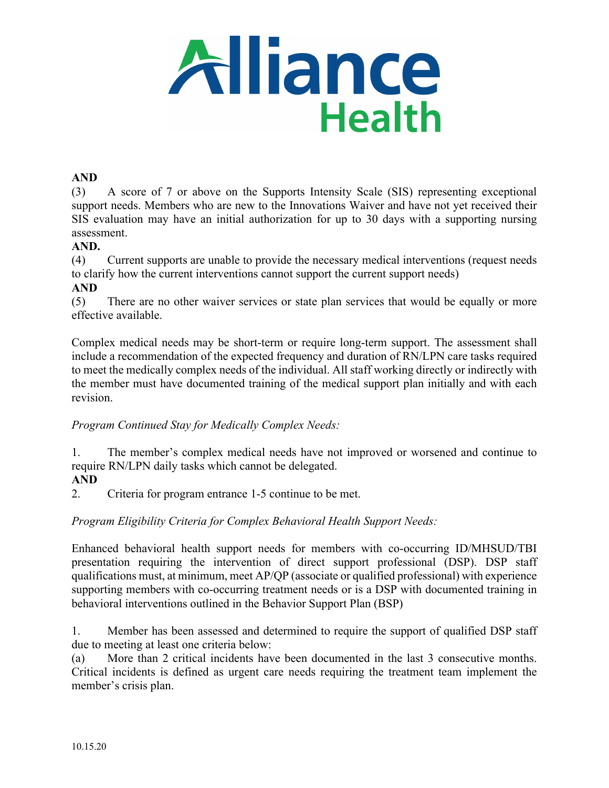

#### **AND**

(3) A score of 7 or above on the Supports Intensity Scale (SIS) representing exceptional support needs. Members who are new to the Innovations Waiver and have not yet received their SIS evaluation may have an initial authorization for up to 30 days with a supporting nursing assessment.

#### **AND.**

(4) Current supports are unable to provide the necessary medical interventions (request needs to clarify how the current interventions cannot support the current support needs)

#### **AND**

(5) There are no other waiver services or state plan services that would be equally or more effective available.

Complex medical needs may be short-term or require long-term support. The assessment shall include a recommendation of the expected frequency and duration of RN/LPN care tasks required to meet the medically complex needs of the individual. All staff working directly or indirectly with the member must have documented training of the medical support plan initially and with each revision.

## *Program Continued Stay for Medically Complex Needs:*

1. The member's complex medical needs have not improved or worsened and continue to require RN/LPN daily tasks which cannot be delegated.

#### **AND**

2. Criteria for program entrance 1-5 continue to be met.

## *Program Eligibility Criteria for Complex Behavioral Health Support Needs:*

Enhanced behavioral health support needs for members with co-occurring ID/MHSUD/TBI presentation requiring the intervention of direct support professional (DSP). DSP staff qualifications must, at minimum, meet AP/QP (associate or qualified professional) with experience supporting members with co-occurring treatment needs or is a DSP with documented training in behavioral interventions outlined in the Behavior Support Plan (BSP)

1. Member has been assessed and determined to require the support of qualified DSP staff due to meeting at least one criteria below:

(a) More than 2 critical incidents have been documented in the last 3 consecutive months. Critical incidents is defined as urgent care needs requiring the treatment team implement the member's crisis plan.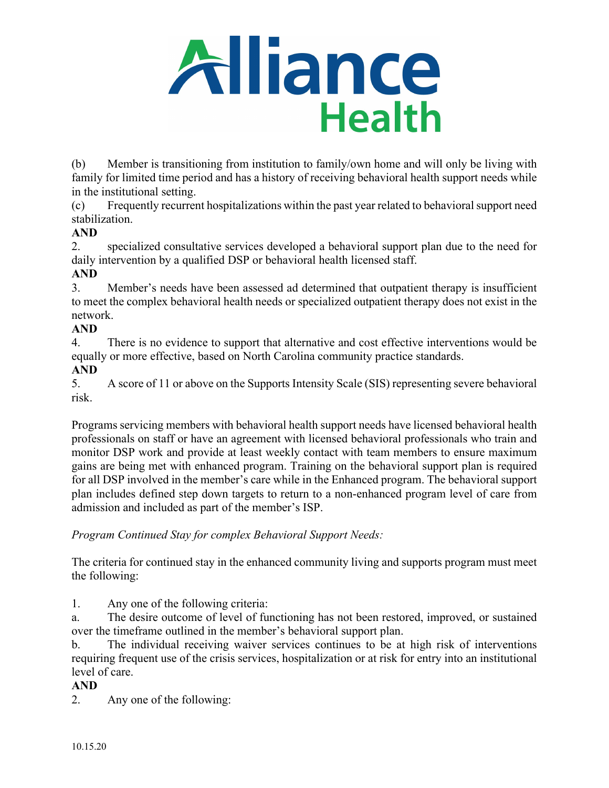

(b) Member is transitioning from institution to family/own home and will only be living with family for limited time period and has a history of receiving behavioral health support needs while in the institutional setting.

(c) Frequently recurrent hospitalizations within the past year related to behavioral support need stabilization.

# **AND**

2. specialized consultative services developed a behavioral support plan due to the need for daily intervention by a qualified DSP or behavioral health licensed staff.

# **AND**

3. Member's needs have been assessed ad determined that outpatient therapy is insufficient to meet the complex behavioral health needs or specialized outpatient therapy does not exist in the network.

## **AND**

4. There is no evidence to support that alternative and cost effective interventions would be equally or more effective, based on North Carolina community practice standards.

**AND**

5. A score of 11 or above on the Supports Intensity Scale (SIS) representing severe behavioral risk.

Programs servicing members with behavioral health support needs have licensed behavioral health professionals on staff or have an agreement with licensed behavioral professionals who train and monitor DSP work and provide at least weekly contact with team members to ensure maximum gains are being met with enhanced program. Training on the behavioral support plan is required for all DSP involved in the member's care while in the Enhanced program. The behavioral support plan includes defined step down targets to return to a non-enhanced program level of care from admission and included as part of the member's ISP.

## *Program Continued Stay for complex Behavioral Support Needs:*

The criteria for continued stay in the enhanced community living and supports program must meet the following:

1. Any one of the following criteria:

a. The desire outcome of level of functioning has not been restored, improved, or sustained over the timeframe outlined in the member's behavioral support plan.

b. The individual receiving waiver services continues to be at high risk of interventions requiring frequent use of the crisis services, hospitalization or at risk for entry into an institutional level of care.

## **AND**

2. Any one of the following: